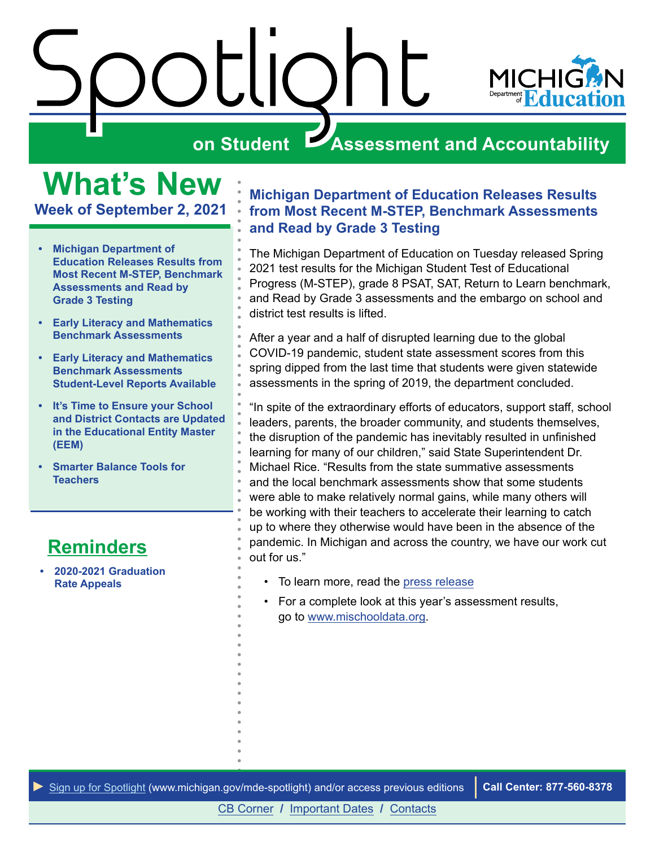

<span id="page-0-0"></span>**What's New Week of September 2, 2021**

- **• Michigan Department of Education Releases Results from Most Recent M-STEP, Benchmark Assessments and Read by Grade 3 Testing**
- **• [Early Literacy and Mathematics](#page-1-0)  [Benchmark Assessments](#page-1-0)**
- **• [Early Literacy and Mathematics](#page-3-0)  [Benchmark Assessments](#page-3-0)  [Student-Level Reports Available](#page-3-0)**
- **• [It's Time to Ensure your School](#page-3-0)  [and District Contacts are Updated](#page-3-0)  [in the Educational Entity Master](#page-3-0)  [\(EEM\)](#page-3-0)**
- **• [Smarter Balance Tools for](#page-5-0)  [Teachers](#page-5-0)**

# **[Reminders](#page-6-0)**

**• 2020-2021 Graduation Rate Appeals**

#### **Michigan Department of Education Releases Results from Most Recent M-STEP, Benchmark Assessments and Read by Grade 3 Testing**

The Michigan Department of Education on Tuesday released Spring 2021 test results for the Michigan Student Test of Educational Progress (M-STEP), grade 8 PSAT, SAT, Return to Learn benchmark, and Read by Grade 3 assessments and the embargo on school and district test results is lifted.

After a year and a half of disrupted learning due to the global COVID-19 pandemic, student state assessment scores from this spring dipped from the last time that students were given statewide assessments in the spring of 2019, the department concluded.

"In spite of the extraordinary efforts of educators, support staff, school leaders, parents, the broader community, and students themselves, the disruption of the pandemic has inevitably resulted in unfinished learning for many of our children," said State Superintendent Dr. Michael Rice. "Results from the state summative assessments and the local benchmark assessments show that some students were able to make relatively normal gains, while many others will be working with their teachers to accelerate their learning to catch up to where they otherwise would have been in the absence of the pandemic. In Michigan and across the country, we have our work cut out for us."

- To learn more, read the [press release](https://www.michigan.gov/mde/0,4615,7-140--566928--,00.html)
- For a complete look at this year's assessment results, go to [www.mischooldata.org.](http://www.mischooldata.org)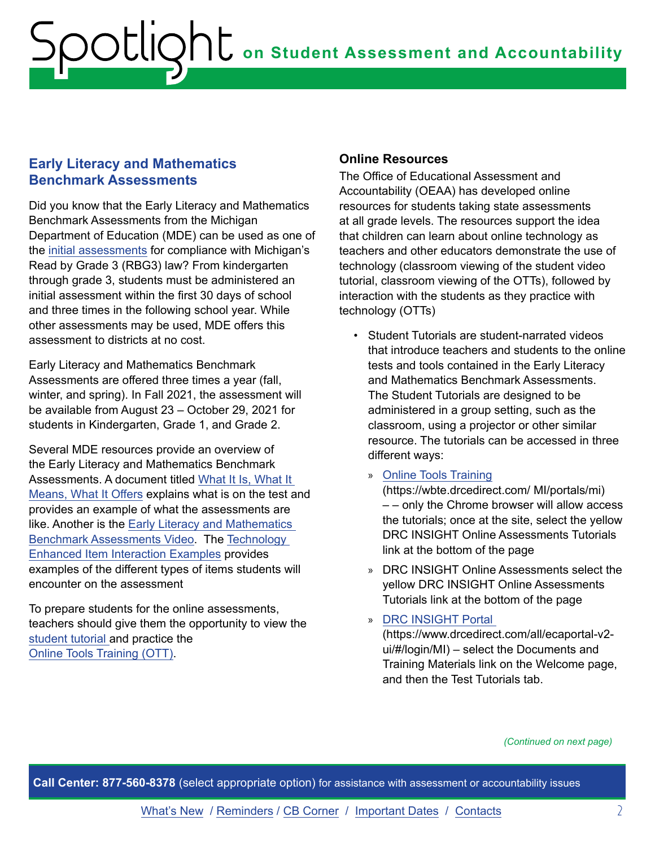#### <span id="page-1-0"></span>**Early Literacy and Mathematics Benchmark Assessments**

Did you know that the Early Literacy and Mathematics Benchmark Assessments from the Michigan Department of Education (MDE) can be used as one of the in[itial assessments](https://www.michigan.gov/documents/mde/17-18_Initial_Assessment_List_560866_7.pdf) for compliance with Michigan's Read by Grade 3 (RBG3) law? From kindergarten through grade 3, students must be administered an initial assessment within the first 30 days of school and three times in the following school year. While other assessments may be used, MDE offers this assessment to districts at no cost.

Early Literacy and Mathematics Benchmark Assessments are offered three times a year (fall, winter, and spring). In Fall 2021, the assessment will be available from August 23 – October 29, 2021 for students in Kindergarten, Grade 1, and Grade 2.

Several MDE resources provide an overview of the Early Literacy and Mathematics Benchmark Assessments. A document titled [What It Is, What It](https://www.michigan.gov/documents/mde/Early_Literacy_and_Mathematics_Benchmark_Assessment_What_it_Is_What_it_Means_and_What_if_Offers_605069_7.pdf)  [Means, What It Offers](https://www.michigan.gov/documents/mde/Early_Literacy_and_Mathematics_Benchmark_Assessment_What_it_Is_What_it_Means_and_What_if_Offers_605069_7.pdf) explains what is on the test and provides an example of what the assessments are like. Another is the [Early Literacy and Mathematics](https://www.youtube.com/watch?v=SAU5ys2nKN4)  [Benchmark Assessments Video](https://www.youtube.com/watch?v=SAU5ys2nKN4). The Te[chnology](https://www.michigan.gov/documents/mde/Technology_Enhanced_Interaction_Samples_454222_7.pdf)  [Enhanced Item Interaction Examples](https://www.michigan.gov/documents/mde/Technology_Enhanced_Interaction_Samples_454222_7.pdf) provides examples of the different types of items students will encounter on the assessment

To prepare students for the online assessments, teachers should give them the opportunity to view the [student tutorial](https://assets.drcedirect.com/States/MI/Tutorials/Student/current/HTML5_EOCEP_MI/index.html) and practice the [Online Tools Training \(OTT\).](https://wbte.drcedirect.com/MI/portals/mi)

#### **Online Resources**

The Office of Educational Assessment and Accountability (OEAA) has developed online resources for students taking state assessments at all grade levels. The resources support the idea that children can learn about online technology as teachers and other educators demonstrate the use of technology (classroom viewing of the student video tutorial, classroom viewing of the OTTs), followed by interaction with the students as they practice with technology (OTTs)

- Student Tutorials are student-narrated videos that introduce teachers and students to the online tests and tools contained in the Early Literacy and Mathematics Benchmark Assessments. The Student Tutorials are designed to be administered in a group setting, such as the classroom, using a projector or other similar resource. The tutorials can be accessed in three different ways:
	- » [Online Tools Training](https://wbte.drcedirect.com/MI/portals/mi)

(https://wbte.drcedirect.com/ MI/portals/mi) – – only the Chrome browser will allow access the tutorials; once at the site, select the yellow DRC INSIGHT Online Assessments Tutorials link at the bottom of the page

- » DRC INSIGHT Online Assessments select the yellow DRC INSIGHT Online Assessments Tutorials link at the bottom of the page
- » [DRC INSIGHT Portal](https://www.drcedirect.com/all/eca-portal-v2-ui/#/login/MI)

(https://www.drcedirect.com/all/ecaportal-v2 ui/#/login/MI) – select the Documents and Training Materials link on the Welcome page, and then the Test Tutorials tab.

*(Continued on next page)*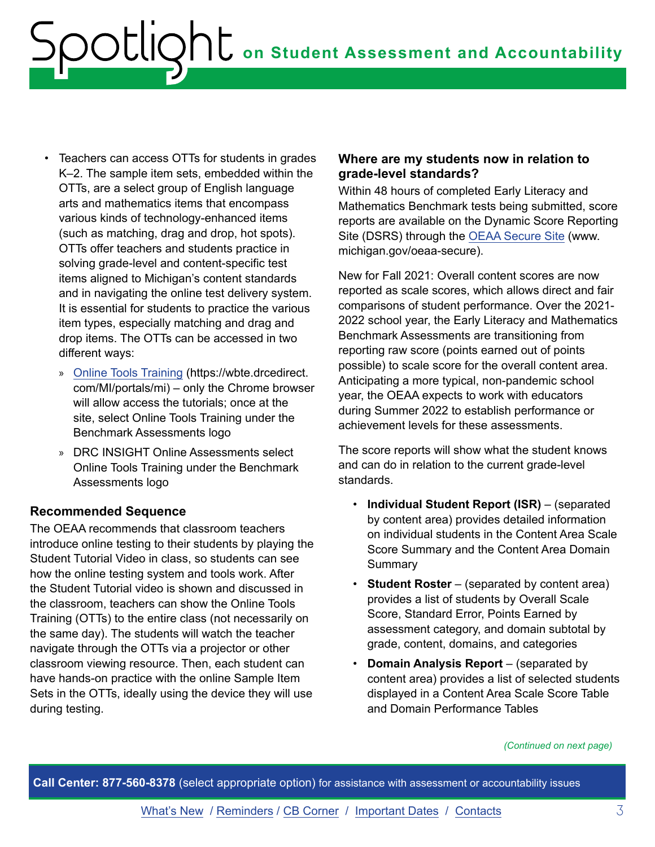- Teachers can access OTTs for students in grades K–2. The sample item sets, embedded within the OTTs, are a select group of English language arts and mathematics items that encompass various kinds of technology-enhanced items (such as matching, drag and drop, hot spots). OTTs offer teachers and students practice in solving grade-level and content-specific test items aligned to Michigan's content standards and in navigating the online test delivery system. It is essential for students to practice the various item types, especially matching and drag and drop items. The OTTs can be accessed in two different ways:
	- » [Online Tools Training](https://wbte.drcedirect.com/MI/portals/mi) (https://wbte.drcedirect. com/MI/portals/mi) – only the Chrome browser will allow access the tutorials; once at the site, select Online Tools Training under the Benchmark Assessments logo
	- » DRC INSIGHT Online Assessments select Online Tools Training under the Benchmark Assessments logo

#### **Recommended Sequence**

The OEAA recommends that classroom teachers introduce online testing to their students by playing the Student Tutorial Video in class, so students can see how the online testing system and tools work. After the Student Tutorial video is shown and discussed in the classroom, teachers can show the Online Tools Training (OTTs) to the entire class (not necessarily on the same day). The students will watch the teacher navigate through the OTTs via a projector or other classroom viewing resource. Then, each student can have hands-on practice with the online Sample Item Sets in the OTTs, ideally using the device they will use during testing.

#### **Where are my students now in relation to grade-level standards?**

Within 48 hours of completed Early Literacy and Mathematics Benchmark tests being submitted, score reports are available on the Dynamic Score Reporting Site (DSRS) through the [OEAA Secure Site](http://www.michigan.gov/oeaa-secure) (www. michigan.gov/oeaa-secure).

New for Fall 2021: Overall content scores are now reported as scale scores, which allows direct and fair comparisons of student performance. Over the 2021- 2022 school year, the Early Literacy and Mathematics Benchmark Assessments are transitioning from reporting raw score (points earned out of points possible) to scale score for the overall content area. Anticipating a more typical, non-pandemic school year, the OEAA expects to work with educators during Summer 2022 to establish performance or achievement levels for these assessments.

The score reports will show what the student knows and can do in relation to the current grade-level standards.

- **Individual Student Report (ISR)** (separated by content area) provides detailed information on individual students in the Content Area Scale Score Summary and the Content Area Domain **Summary**
- **Student Roster** (separated by content area) provides a list of students by Overall Scale Score, Standard Error, Points Earned by assessment category, and domain subtotal by grade, content, domains, and categories
- **Domain Analysis Report** (separated by content area) provides a list of selected students displayed in a Content Area Scale Score Table and Domain Performance Tables

*(Continued on next page)*

**Call Center: 877-560-8378** (select appropriate option) for assistance with assessment or accountability issues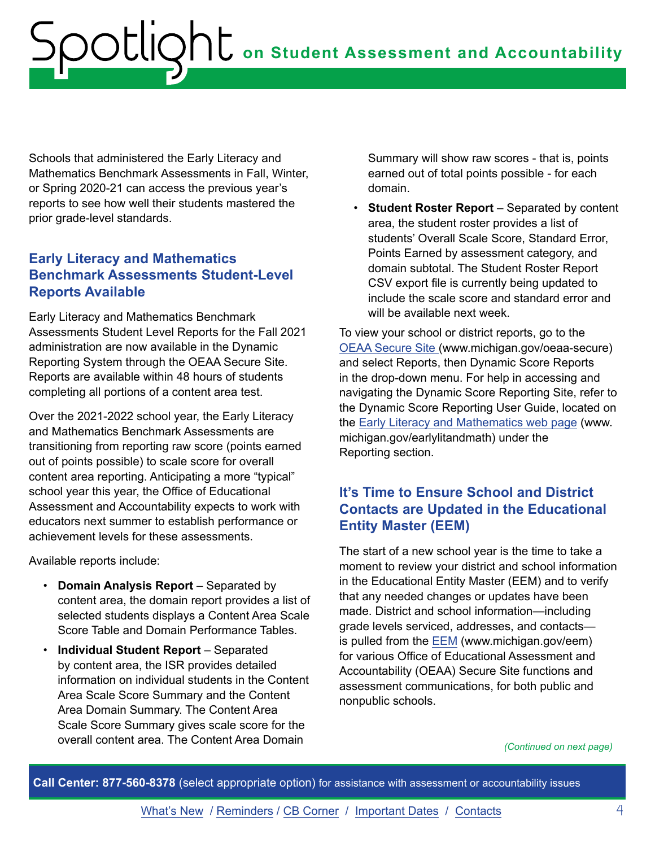<span id="page-3-0"></span>Schools that administered the Early Literacy and Mathematics Benchmark Assessments in Fall, Winter, or Spring 2020-21 can access the previous year's reports to see how well their students mastered the prior grade-level standards.

#### **Early Literacy and Mathematics Benchmark Assessments Student-Level Reports Available**

Early Literacy and Mathematics Benchmark Assessments Student Level Reports for the Fall 2021 administration are now available in the Dynamic Reporting System through the OEAA Secure Site. Reports are available within 48 hours of students completing all portions of a content area test.

Over the 2021-2022 school year, the Early Literacy and Mathematics Benchmark Assessments are transitioning from reporting raw score (points earned out of points possible) to scale score for overall content area reporting. Anticipating a more "typical" school year this year, the Office of Educational Assessment and Accountability expects to work with educators next summer to establish performance or achievement levels for these assessments.

Available reports include:

- **Domain Analysis Report**  Separated by content area, the domain report provides a list of selected students displays a Content Area Scale Score Table and Domain Performance Tables.
- **Individual Student Report** Separated by content area, the ISR provides detailed information on individual students in the Content Area Scale Score Summary and the Content Area Domain Summary. The Content Area Scale Score Summary gives scale score for the overall content area. The Content Area Domain

Summary will show raw scores - that is, points earned out of total points possible - for each domain.

• **Student Roster Report** – Separated by content area, the student roster provides a list of students' Overall Scale Score, Standard Error, Points Earned by assessment category, and domain subtotal. The Student Roster Report CSV export file is currently being updated to include the scale score and standard error and will be available next week.

To view your school or district reports, go to the [OEAA Secure Site](http://www.michigan.gov/oeaa-secure) (www.michigan.gov/oeaa-secure) and select Reports, then Dynamic Score Reports in the drop-down menu. For help in accessing and navigating the Dynamic Score Reporting Site, refer to the Dynamic Score Reporting User Guide, located on the [Early Literacy and Mathematics web page](http://www.michigan.gov/earlylitandmath) (www. michigan.gov/earlylitandmath) under the Reporting section.

#### **It's Time to Ensure School and District Contacts are Updated in the Educational Entity Master (EEM)**

The start of a new school year is the time to take a moment to review your district and school information in the Educational Entity Master (EEM) and to verify that any needed changes or updates have been made. District and school information—including grade levels serviced, addresses, and contacts is pulled from the [EEM](http://www.michigan.gov/eem) (www.michigan.gov/eem) for various Office of Educational Assessment and Accountability (OEAA) Secure Site functions and assessment communications, for both public and nonpublic schools.

*(Continued on next page)*

**Call Center: 877-560-8378** (select appropriate option) for assistance with assessment or accountability issues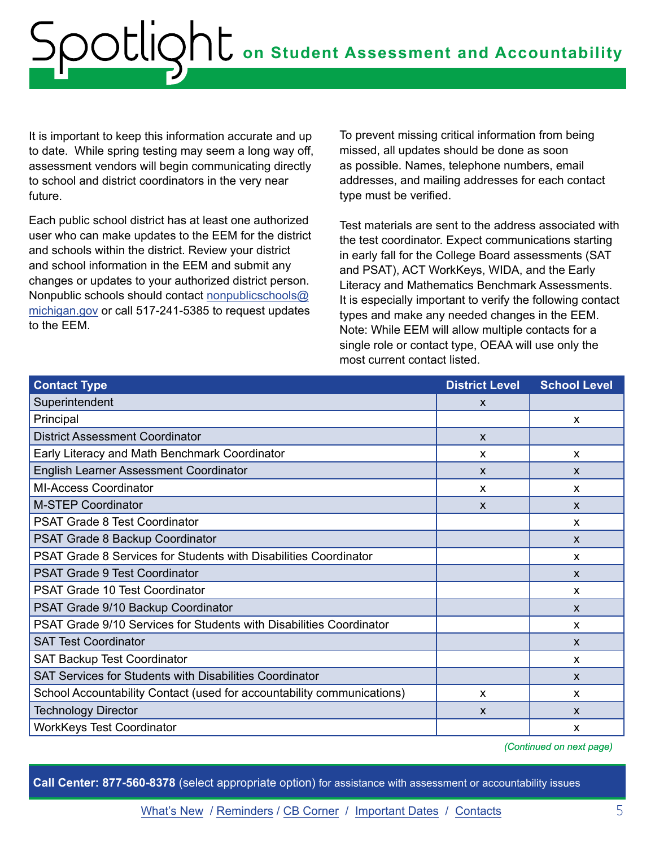It is important to keep this information accurate and up to date. While spring testing may seem a long way off, assessment vendors will begin communicating directly to school and district coordinators in the very near future.

Each public school district has at least one authorized user who can make updates to the EEM for the district and schools within the district. Review your district and school information in the EEM and submit any changes or updates to your authorized district person. Nonpublic schools should contact [nonpublicschools@](mailto:nonpublicschools%40michigan.gov?subject=EEM%20Updates) [michigan.gov](mailto:nonpublicschools%40michigan.gov?subject=EEM%20Updates) or call 517-241-5385 to request updates to the EEM.

To prevent missing critical information from being missed, all updates should be done as soon as possible. Names, telephone numbers, email addresses, and mailing addresses for each contact type must be verified.

Test materials are sent to the address associated with the test coordinator. Expect communications starting in early fall for the College Board assessments (SAT and PSAT), ACT WorkKeys, WIDA, and the Early Literacy and Mathematics Benchmark Assessments. It is especially important to verify the following contact types and make any needed changes in the EEM. Note: While EEM will allow multiple contacts for a single role or contact type, OEAA will use only the most current contact listed.

| <b>Contact Type</b>                                                    | <b>District Level</b> | <b>School Level</b>       |
|------------------------------------------------------------------------|-----------------------|---------------------------|
| Superintendent                                                         | X                     |                           |
| Principal                                                              |                       | $\boldsymbol{\mathsf{x}}$ |
| <b>District Assessment Coordinator</b>                                 | $\mathsf{x}$          |                           |
| Early Literacy and Math Benchmark Coordinator                          | X                     | X                         |
| <b>English Learner Assessment Coordinator</b>                          | $\mathsf{x}$          | $\boldsymbol{\mathsf{x}}$ |
| <b>MI-Access Coordinator</b>                                           | X                     | $\boldsymbol{\mathsf{x}}$ |
| <b>M-STEP Coordinator</b>                                              | $\mathsf{x}$          | $\mathsf{x}$              |
| <b>PSAT Grade 8 Test Coordinator</b>                                   |                       | $\boldsymbol{\mathsf{x}}$ |
| PSAT Grade 8 Backup Coordinator                                        |                       | $\mathsf{x}$              |
| PSAT Grade 8 Services for Students with Disabilities Coordinator       |                       | $\mathsf{x}$              |
| <b>PSAT Grade 9 Test Coordinator</b>                                   |                       | $\mathsf{x}$              |
| <b>PSAT Grade 10 Test Coordinator</b>                                  |                       | $\boldsymbol{\mathsf{x}}$ |
| PSAT Grade 9/10 Backup Coordinator                                     |                       | $\boldsymbol{\mathsf{X}}$ |
| PSAT Grade 9/10 Services for Students with Disabilities Coordinator    |                       | $\mathsf{x}$              |
| <b>SAT Test Coordinator</b>                                            |                       | $\boldsymbol{\mathsf{x}}$ |
| <b>SAT Backup Test Coordinator</b>                                     |                       | $\boldsymbol{\mathsf{x}}$ |
| <b>SAT Services for Students with Disabilities Coordinator</b>         |                       | $\boldsymbol{\mathsf{X}}$ |
| School Accountability Contact (used for accountability communications) | X                     | X                         |
| <b>Technology Director</b>                                             | $\mathsf{x}$          | $\boldsymbol{\mathsf{x}}$ |
| <b>WorkKeys Test Coordinator</b>                                       |                       | X                         |

*(Continued on next page)*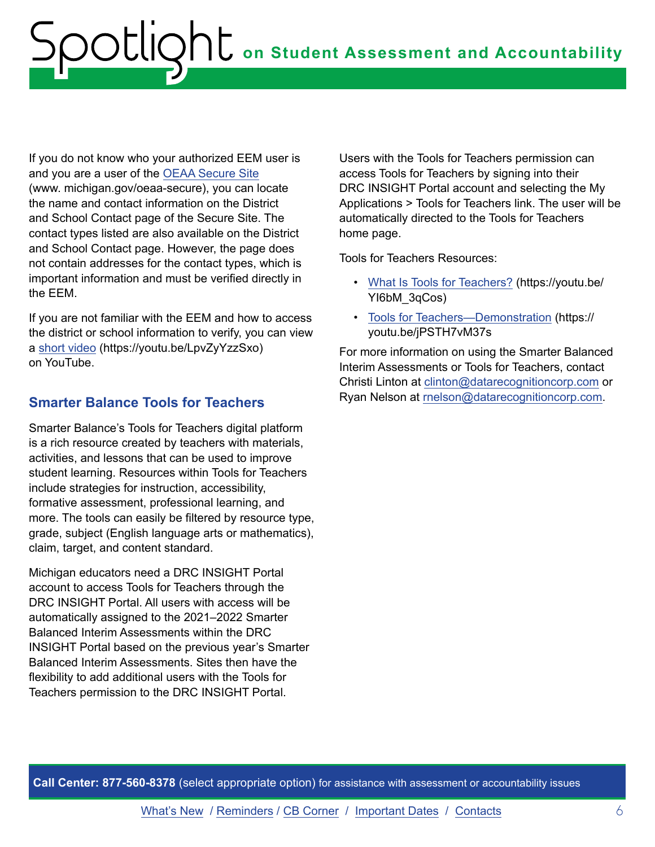<span id="page-5-0"></span>If you do not know who your authorized EEM user is and you are a user of the [OEAA Secure Site](http://www.michigan.gov/oeaa-secure) (www. michigan.gov/oeaa-secure), you can locate the name and contact information on the District and School Contact page of the Secure Site. The contact types listed are also available on the District and School Contact page. However, the page does not contain addresses for the contact types, which is important information and must be verified directly in the EEM.

If you are not familiar with the EEM and how to access the district or school information to verify, you can view a [short video](https://www.youtube.com/watch?v=LpvZyYzzSxo) (https://youtu.be/LpvZyYzzSxo) on YouTube.

#### **Smarter Balance Tools for Teachers**

Smarter Balance's Tools for Teachers digital platform is a rich resource created by teachers with materials, activities, and lessons that can be used to improve student learning. Resources within Tools for Teachers include strategies for instruction, accessibility, formative assessment, professional learning, and more. The tools can easily be filtered by resource type, grade, subject (English language arts or mathematics), claim, target, and content standard.

Michigan educators need a DRC INSIGHT Portal account to access Tools for Teachers through the DRC INSIGHT Portal. All users with access will be automatically assigned to the 2021–2022 Smarter Balanced Interim Assessments within the DRC INSIGHT Portal based on the previous year's Smarter Balanced Interim Assessments. Sites then have the flexibility to add additional users with the Tools for Teachers permission to the DRC INSIGHT Portal.

Users with the Tools for Teachers permission can access Tools for Teachers by signing into their DRC INSIGHT Portal account and selecting the My Applications > Tools for Teachers link. The user will be automatically directed to the Tools for Teachers home page.

Tools for Teachers Resources:

- [What Is Tools for Teachers?](https://www.youtube.com/watch?v=YI6bM_3qCos&feature=youtu.be) (https://youtu.be/ YI6bM\_3qCos)
- [Tools for Teachers—Demonstration](https://www.youtube.com/watch?v=jPSTH7vM37s) (https:// youtu.be/jPSTH7vM37s

For more information on using the Smarter Balanced Interim Assessments or Tools for Teachers, contact Christi Linton at [clinton@datarecognitioncorp.com](mailto:clinton%40datarecognitioncorp.com?subject=Tools%20for%20Teachers) or Ryan Nelson at [rnelson@datarecognitioncorp.com](mailto:rnelson%40datarecognitioncorp.com?subject=Tools%20for%20Teachers).

**Call Center: 877-560-8378** (select appropriate option) for assistance with assessment or accountability issues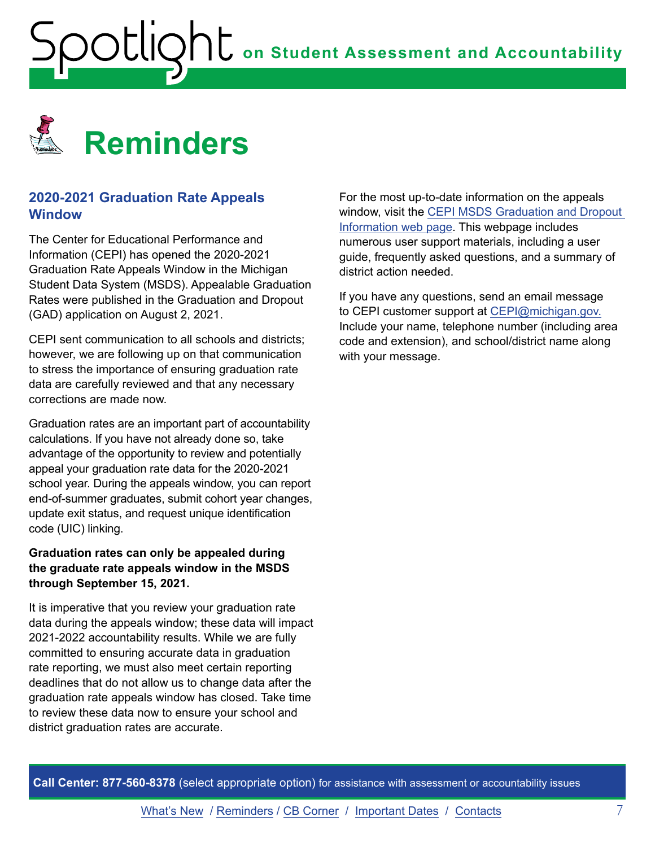<span id="page-6-1"></span><span id="page-6-0"></span>

#### **2020-2021 Graduation Rate Appeals Window**

The Center for Educational Performance and Information (CEPI) has opened the 2020-2021 Graduation Rate Appeals Window in the Michigan Student Data System (MSDS). Appealable Graduation Rates were published in the Graduation and Dropout (GAD) application on August 2, 2021.

CEPI sent communication to all schools and districts; however, we are following up on that communication to stress the importance of ensuring graduation rate data are carefully reviewed and that any necessary corrections are made now.

Graduation rates are an important part of accountability calculations. If you have not already done so, take advantage of the opportunity to review and potentially appeal your graduation rate data for the 2020-2021 school year. During the appeals window, you can report end-of-summer graduates, submit cohort year changes, update exit status, and request unique identification code (UIC) linking.

#### **Graduation rates can only be appealed during the graduate rate appeals window in the MSDS through September 15, 2021.**

It is imperative that you review your graduation rate data during the appeals window; these data will impact 2021-2022 accountability results. While we are fully committed to ensuring accurate data in graduation rate reporting, we must also meet certain reporting deadlines that do not allow us to change data after the graduation rate appeals window has closed. Take time to review these data now to ensure your school and district graduation rates are accurate.

For the most up-to-date information on the appeals window, visit the [CEPI MSDS Graduation and Dropout](http://www.michigan.gov/cepi/0,1607,7-113-986_50502_56418---,00.html)  [Information web page](http://www.michigan.gov/cepi/0,1607,7-113-986_50502_56418---,00.html). This webpage includes numerous user support materials, including a user guide, frequently asked questions, and a summary of district action needed.

If you have any questions, send an email message to CEPI customer support at [CEPI@michigan.gov.](mailto:CEPI%40michigan.gov?subject=) Include your name, telephone number (including area code and extension), and school/district name along with your message.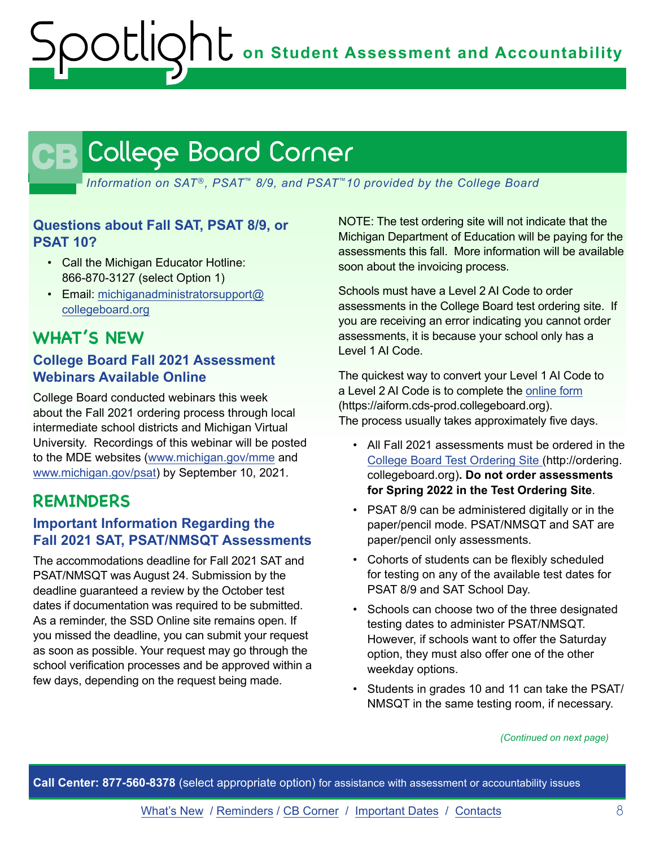# <span id="page-7-0"></span>CB

*Information on SAT*®*, PSAT*™ *8/9, and PSAT*™*10 provided by the College Board*

#### **Questions about Fall SAT, PSAT 8/9, or PSAT 10?**

- Call the Michigan Educator Hotline: 866-870-3127 (select Option 1)
- Email: [michiganadministratorsupport@](mailto:michiganadministratorsupport%40collegeboard.org?subject=) [collegeboard.org](mailto:michiganadministratorsupport%40collegeboard.org?subject=)

## **WHAT'S NEW**

#### **College Board Fall 2021 Assessment Webinars Available Online**

College Board conducted webinars this week about the Fall 2021 ordering process through local intermediate school districts and Michigan Virtual University. Recordings of this webinar will be posted to the MDE websites ([www.michigan.gov/mme](http://) and [www.michigan.gov/psat\)](http://www.michigan.gov/psat) by September 10, 2021.

## **REMINDERS**

#### **Important Information Regarding the Fall 2021 SAT, PSAT/NMSQT Assessments**

The accommodations deadline for Fall 2021 SAT and PSAT/NMSQT was August 24. Submission by the deadline guaranteed a review by the October test dates if documentation was required to be submitted. As a reminder, the SSD Online site remains open. If you missed the deadline, you can submit your request as soon as possible. Your request may go through the school verification processes and be approved within a few days, depending on the request being made.

NOTE: The test ordering site will not indicate that the Michigan Department of Education will be paying for the assessments this fall. More information will be available soon about the invoicing process.

Schools must have a Level 2 AI Code to order assessments in the College Board test ordering site. If you are receiving an error indicating you cannot order assessments, it is because your school only has a Level 1 AI Code.

The quickest way to convert your Level 1 AI Code to a Level 2 AI Code is to complete the [online form](https://aiform.cds-prod.collegeboard.org/) (https://aiform.cds-prod.collegeboard.org). The process usually takes approximately five days.

- All Fall 2021 assessments must be ordered in the [College Board Test Ordering Site](http://ordering.collegeboard.org) (http://ordering. collegeboard.org)**. Do not order assessments for Spring 2022 in the Test Ordering Site**.
- PSAT 8/9 can be administered digitally or in the paper/pencil mode. PSAT/NMSQT and SAT are paper/pencil only assessments.
- Cohorts of students can be flexibly scheduled for testing on any of the available test dates for PSAT 8/9 and SAT School Day.
- Schools can choose two of the three designated testing dates to administer PSAT/NMSQT. However, if schools want to offer the Saturday option, they must also offer one of the other weekday options.
- Students in grades 10 and 11 can take the PSAT/ NMSQT in the same testing room, if necessary.

*(Continued on next page)*

**Call Center: 877-560-8378** (select appropriate option) for assistance with assessment or accountability issues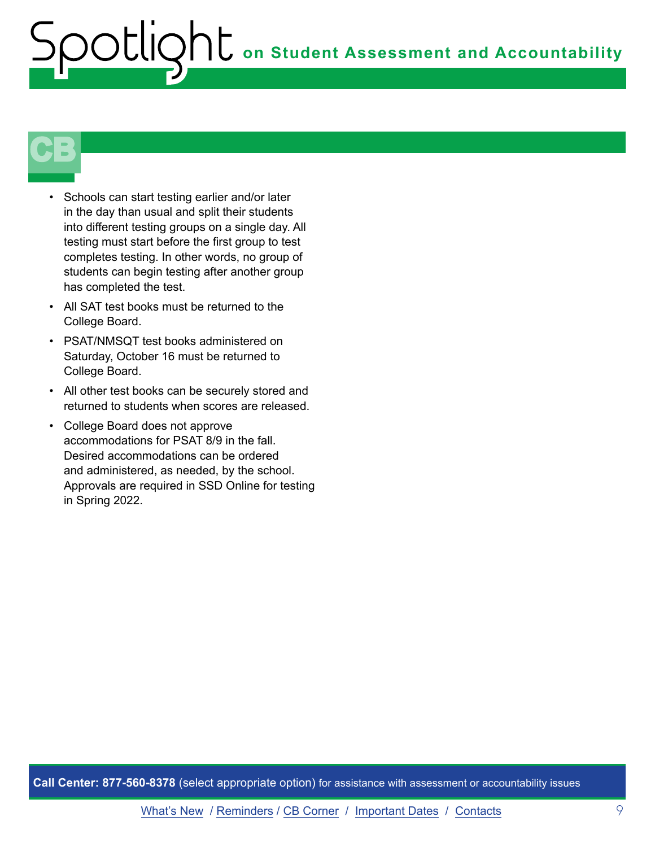

- Schools can start testing earlier and/or later in the day than usual and split their students into different testing groups on a single day. All testing must start before the first group to test completes testing. In other words, no group of students can begin testing after another group has completed the test.
- All SAT test books must be returned to the College Board.
- PSAT/NMSQT test books administered on Saturday, October 16 must be returned to College Board.
- All other test books can be securely stored and returned to students when scores are released.
- College Board does not approve accommodations for PSAT 8/9 in the fall. Desired accommodations can be ordered and administered, as needed, by the school. Approvals are required in SSD Online for testing in Spring 2022.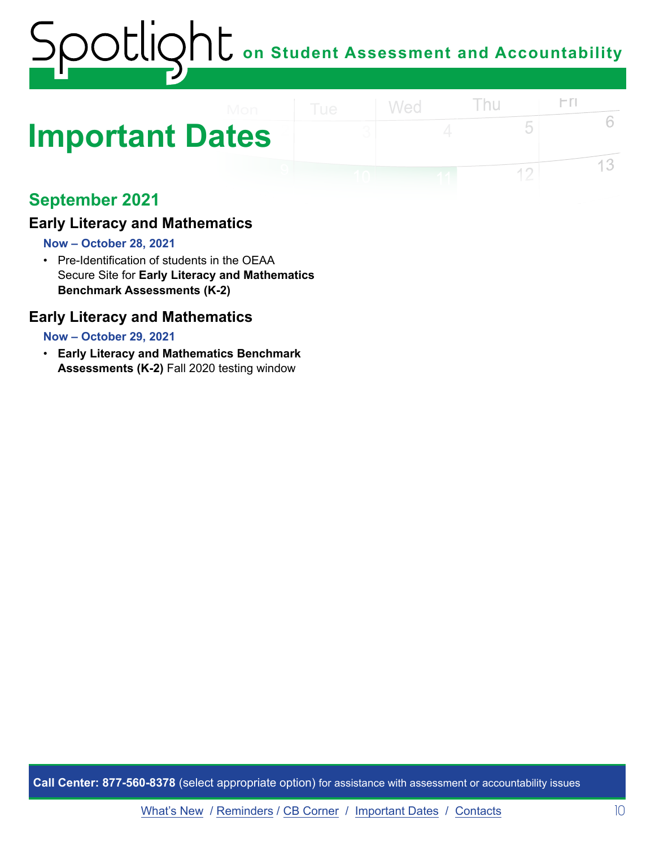# <span id="page-9-0"></span>**Important Dates**

## **September 2021**

#### **Early Literacy and Mathematics**

#### **Now – October 28, 2021**

• Pre-Identification of students in the OEAA Secure Site for **Early Literacy and Mathematics Benchmark Assessments (K-2)** 

#### **Early Literacy and Mathematics**

#### **Now – October 29, 2021**

• **Early Literacy and Mathematics Benchmark Assessments (K-2)** Fall 2020 testing window

**Call Center: 877-560-8378** (select appropriate option) for assistance with assessment or accountability issues

 $\Gamma$ 

5

 $12$ 

6

13

Thu

Wed